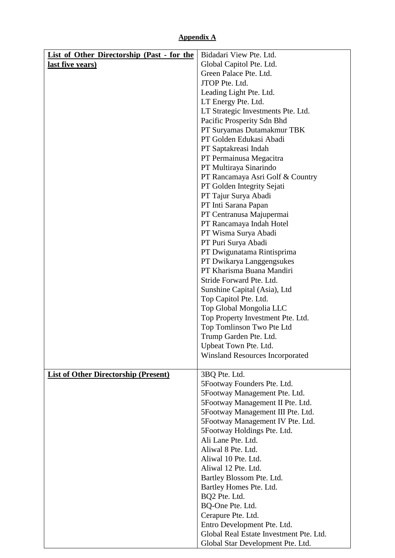## **Appendix A**

| List of Other Directorship (Past - for the  | Bidadari View Pte. Ltd.                               |
|---------------------------------------------|-------------------------------------------------------|
| last five years)                            | Global Capitol Pte. Ltd.                              |
|                                             | Green Palace Pte. Ltd.                                |
|                                             | JTOP Pte. Ltd.                                        |
|                                             | Leading Light Pte. Ltd.                               |
|                                             | LT Energy Pte. Ltd.                                   |
|                                             | LT Strategic Investments Pte. Ltd.                    |
|                                             | Pacific Prosperity Sdn Bhd                            |
|                                             | PT Suryamas Dutamakmur TBK<br>PT Golden Edukasi Abadi |
|                                             | PT Saptakreasi Indah                                  |
|                                             | PT Permainusa Megacitra                               |
|                                             | PT Multiraya Sinarindo                                |
|                                             | PT Rancamaya Asri Golf & Country                      |
|                                             | PT Golden Integrity Sejati                            |
|                                             | PT Tajur Surya Abadi                                  |
|                                             | PT Inti Sarana Papan                                  |
|                                             | PT Centranusa Majupermai                              |
|                                             | PT Rancamaya Indah Hotel                              |
|                                             | PT Wisma Surya Abadi                                  |
|                                             | PT Puri Surya Abadi                                   |
|                                             | PT Dwigunatama Rintisprima                            |
|                                             | PT Dwikarya Langgengsukes                             |
|                                             | PT Kharisma Buana Mandiri                             |
|                                             | Stride Forward Pte. Ltd.                              |
|                                             | Sunshine Capital (Asia), Ltd<br>Top Capitol Pte. Ltd. |
|                                             | Top Global Mongolia LLC                               |
|                                             | Top Property Investment Pte. Ltd.                     |
|                                             | Top Tomlinson Two Pte Ltd                             |
|                                             | Trump Garden Pte. Ltd.                                |
|                                             | Upbeat Town Pte. Ltd.                                 |
|                                             | <b>Winsland Resources Incorporated</b>                |
| <b>List of Other Directorship (Present)</b> | 3BQ Pte. Ltd.                                         |
|                                             | 5Footway Founders Pte. Ltd.                           |
|                                             | 5Footway Management Pte. Ltd.                         |
|                                             | 5Footway Management II Pte. Ltd.                      |
|                                             | 5Footway Management III Pte. Ltd.                     |
|                                             | 5Footway Management IV Pte. Ltd.                      |
|                                             | 5Footway Holdings Pte. Ltd.                           |
|                                             | Ali Lane Pte. Ltd.                                    |
|                                             | Aliwal 8 Pte. Ltd.                                    |
|                                             | Aliwal 10 Pte. Ltd.                                   |
|                                             | Aliwal 12 Pte. Ltd.                                   |
|                                             | Bartley Blossom Pte. Ltd.<br>Bartley Homes Pte. Ltd.  |
|                                             | BQ2 Pte. Ltd.                                         |
|                                             | BQ-One Pte. Ltd.                                      |
|                                             | Cerapure Pte. Ltd.                                    |
|                                             | Entro Development Pte. Ltd.                           |
|                                             | Global Real Estate Investment Pte. Ltd.               |
|                                             | Global Star Development Pte. Ltd.                     |